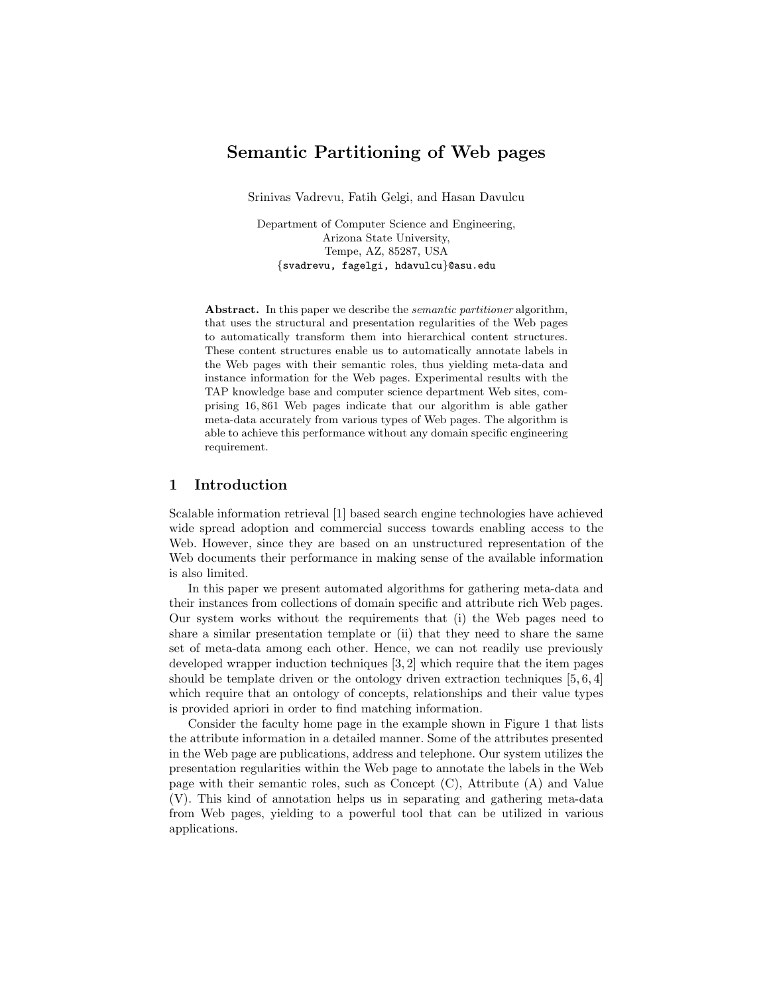# Semantic Partitioning of Web pages

Srinivas Vadrevu, Fatih Gelgi, and Hasan Davulcu

Department of Computer Science and Engineering, Arizona State University, Tempe, AZ, 85287, USA {svadrevu, fagelgi, hdavulcu}@asu.edu

Abstract. In this paper we describe the *semantic partitioner* algorithm, that uses the structural and presentation regularities of the Web pages to automatically transform them into hierarchical content structures. These content structures enable us to automatically annotate labels in the Web pages with their semantic roles, thus yielding meta-data and instance information for the Web pages. Experimental results with the TAP knowledge base and computer science department Web sites, comprising 16, 861 Web pages indicate that our algorithm is able gather meta-data accurately from various types of Web pages. The algorithm is able to achieve this performance without any domain specific engineering requirement.

## 1 Introduction

Scalable information retrieval [1] based search engine technologies have achieved wide spread adoption and commercial success towards enabling access to the Web. However, since they are based on an unstructured representation of the Web documents their performance in making sense of the available information is also limited.

In this paper we present automated algorithms for gathering meta-data and their instances from collections of domain specific and attribute rich Web pages. Our system works without the requirements that (i) the Web pages need to share a similar presentation template or (ii) that they need to share the same set of meta-data among each other. Hence, we can not readily use previously developed wrapper induction techniques [3, 2] which require that the item pages should be template driven or the ontology driven extraction techniques  $[5, 6, 4]$ which require that an ontology of concepts, relationships and their value types is provided apriori in order to find matching information.

Consider the faculty home page in the example shown in Figure 1 that lists the attribute information in a detailed manner. Some of the attributes presented in the Web page are publications, address and telephone. Our system utilizes the presentation regularities within the Web page to annotate the labels in the Web page with their semantic roles, such as Concept (C), Attribute (A) and Value (V). This kind of annotation helps us in separating and gathering meta-data from Web pages, yielding to a powerful tool that can be utilized in various applications.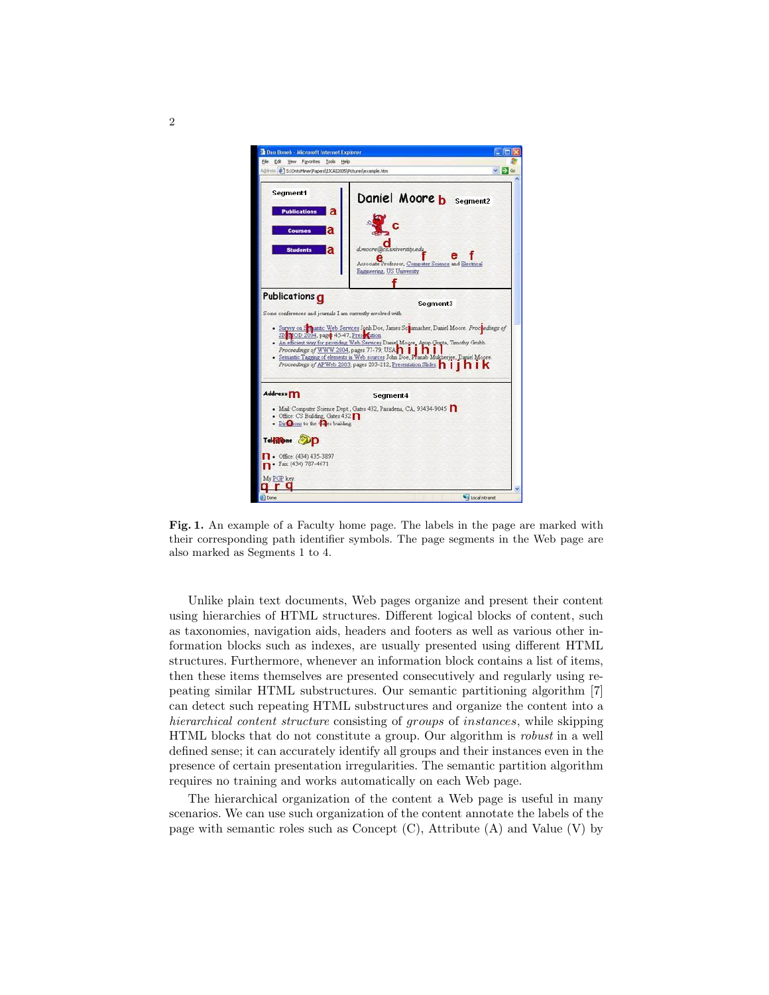

Fig. 1. An example of a Faculty home page. The labels in the page are marked with their corresponding path identifier symbols. The page segments in the Web page are also marked as Segments 1 to 4.

Unlike plain text documents, Web pages organize and present their content using hierarchies of HTML structures. Different logical blocks of content, such as taxonomies, navigation aids, headers and footers as well as various other information blocks such as indexes, are usually presented using different HTML structures. Furthermore, whenever an information block contains a list of items, then these items themselves are presented consecutively and regularly using repeating similar HTML substructures. Our semantic partitioning algorithm [7] can detect such repeating HTML substructures and organize the content into a hierarchical content structure consisting of groups of instances, while skipping HTML blocks that do not constitute a group. Our algorithm is robust in a well defined sense; it can accurately identify all groups and their instances even in the presence of certain presentation irregularities. The semantic partition algorithm requires no training and works automatically on each Web page.

The hierarchical organization of the content a Web page is useful in many scenarios. We can use such organization of the content annotate the labels of the page with semantic roles such as Concept (C), Attribute (A) and Value (V) by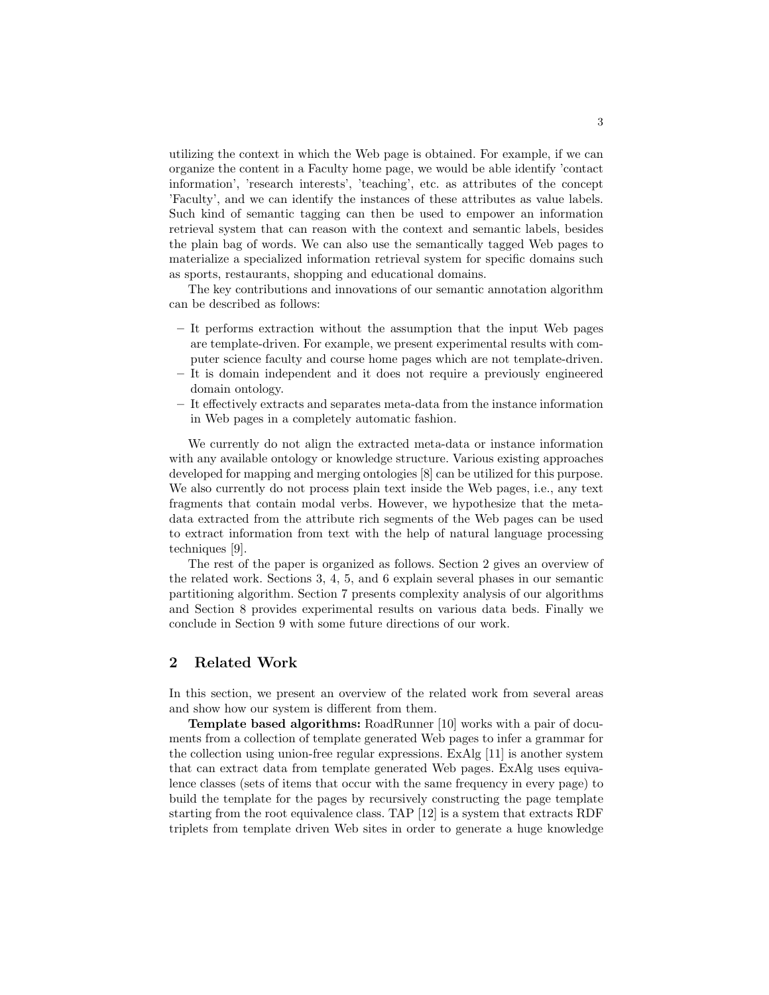utilizing the context in which the Web page is obtained. For example, if we can organize the content in a Faculty home page, we would be able identify 'contact information', 'research interests', 'teaching', etc. as attributes of the concept 'Faculty', and we can identify the instances of these attributes as value labels. Such kind of semantic tagging can then be used to empower an information retrieval system that can reason with the context and semantic labels, besides the plain bag of words. We can also use the semantically tagged Web pages to materialize a specialized information retrieval system for specific domains such as sports, restaurants, shopping and educational domains.

The key contributions and innovations of our semantic annotation algorithm can be described as follows:

- It performs extraction without the assumption that the input Web pages are template-driven. For example, we present experimental results with computer science faculty and course home pages which are not template-driven.
- It is domain independent and it does not require a previously engineered domain ontology.
- It effectively extracts and separates meta-data from the instance information in Web pages in a completely automatic fashion.

We currently do not align the extracted meta-data or instance information with any available ontology or knowledge structure. Various existing approaches developed for mapping and merging ontologies [8] can be utilized for this purpose. We also currently do not process plain text inside the Web pages, i.e., any text fragments that contain modal verbs. However, we hypothesize that the metadata extracted from the attribute rich segments of the Web pages can be used to extract information from text with the help of natural language processing techniques [9].

The rest of the paper is organized as follows. Section 2 gives an overview of the related work. Sections 3, 4, 5, and 6 explain several phases in our semantic partitioning algorithm. Section 7 presents complexity analysis of our algorithms and Section 8 provides experimental results on various data beds. Finally we conclude in Section 9 with some future directions of our work.

## 2 Related Work

In this section, we present an overview of the related work from several areas and show how our system is different from them.

Template based algorithms: RoadRunner [10] works with a pair of documents from a collection of template generated Web pages to infer a grammar for the collection using union-free regular expressions. ExAlg [11] is another system that can extract data from template generated Web pages. ExAlg uses equivalence classes (sets of items that occur with the same frequency in every page) to build the template for the pages by recursively constructing the page template starting from the root equivalence class. TAP [12] is a system that extracts RDF triplets from template driven Web sites in order to generate a huge knowledge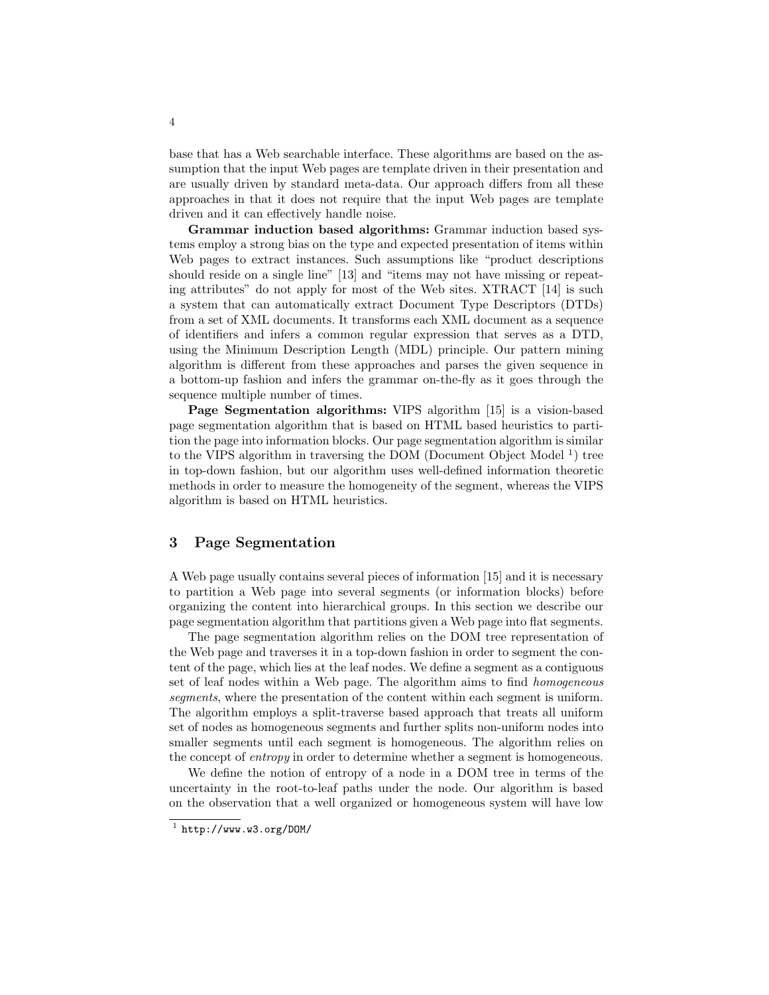base that has a Web searchable interface. These algorithms are based on the assumption that the input Web pages are template driven in their presentation and are usually driven by standard meta-data. Our approach differs from all these approaches in that it does not require that the input Web pages are template driven and it can effectively handle noise.

Grammar induction based algorithms: Grammar induction based systems employ a strong bias on the type and expected presentation of items within Web pages to extract instances. Such assumptions like "product descriptions should reside on a single line" [13] and "items may not have missing or repeating attributes" do not apply for most of the Web sites. XTRACT [14] is such a system that can automatically extract Document Type Descriptors (DTDs) from a set of XML documents. It transforms each XML document as a sequence of identifiers and infers a common regular expression that serves as a DTD, using the Minimum Description Length (MDL) principle. Our pattern mining algorithm is different from these approaches and parses the given sequence in a bottom-up fashion and infers the grammar on-the-fly as it goes through the sequence multiple number of times.

Page Segmentation algorithms: VIPS algorithm [15] is a vision-based page segmentation algorithm that is based on HTML based heuristics to partition the page into information blocks. Our page segmentation algorithm is similar to the VIPS algorithm in traversing the DOM (Document Object Model<sup>1</sup>) tree in top-down fashion, but our algorithm uses well-defined information theoretic methods in order to measure the homogeneity of the segment, whereas the VIPS algorithm is based on HTML heuristics.

## 3 Page Segmentation

A Web page usually contains several pieces of information [15] and it is necessary to partition a Web page into several segments (or information blocks) before organizing the content into hierarchical groups. In this section we describe our page segmentation algorithm that partitions given a Web page into flat segments.

The page segmentation algorithm relies on the DOM tree representation of the Web page and traverses it in a top-down fashion in order to segment the content of the page, which lies at the leaf nodes. We define a segment as a contiguous set of leaf nodes within a Web page. The algorithm aims to find homogeneous segments, where the presentation of the content within each segment is uniform. The algorithm employs a split-traverse based approach that treats all uniform set of nodes as homogeneous segments and further splits non-uniform nodes into smaller segments until each segment is homogeneous. The algorithm relies on the concept of entropy in order to determine whether a segment is homogeneous.

We define the notion of entropy of a node in a DOM tree in terms of the uncertainty in the root-to-leaf paths under the node. Our algorithm is based on the observation that a well organized or homogeneous system will have low

 $<sup>1</sup>$  http://www.w3.org/DOM/</sup>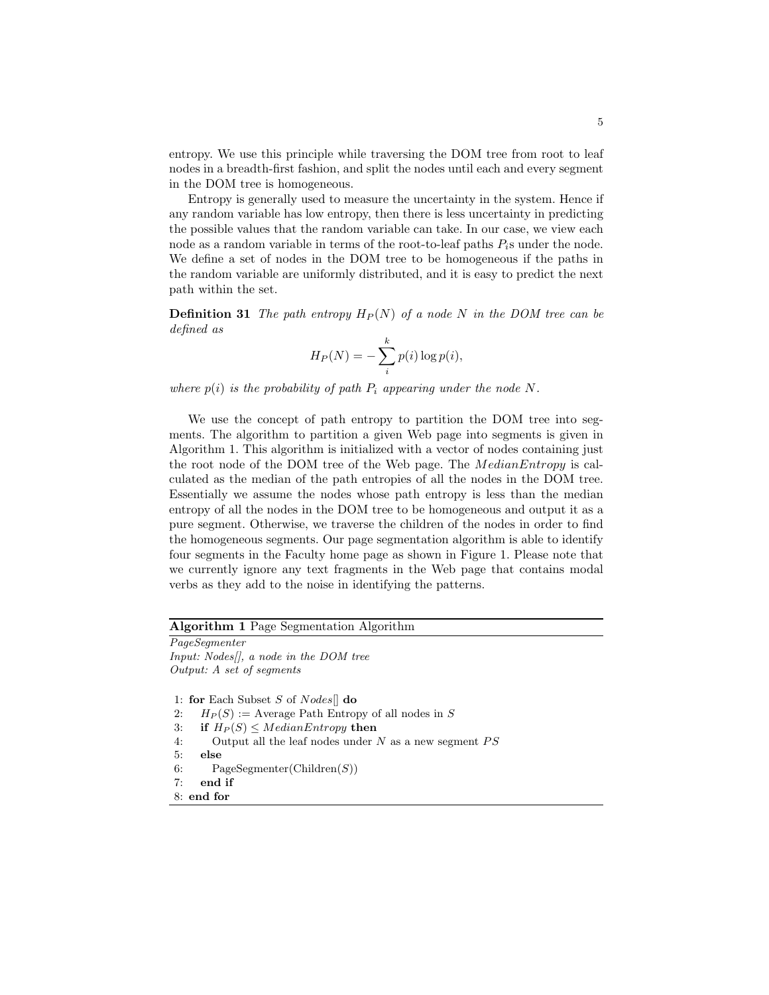entropy. We use this principle while traversing the DOM tree from root to leaf nodes in a breadth-first fashion, and split the nodes until each and every segment in the DOM tree is homogeneous.

Entropy is generally used to measure the uncertainty in the system. Hence if any random variable has low entropy, then there is less uncertainty in predicting the possible values that the random variable can take. In our case, we view each node as a random variable in terms of the root-to-leaf paths  $P_i$ s under the node. We define a set of nodes in the DOM tree to be homogeneous if the paths in the random variable are uniformly distributed, and it is easy to predict the next path within the set.

**Definition 31** The path entropy  $H_P(N)$  of a node N in the DOM tree can be defined as

$$
H_P(N) = -\sum_{i}^{k} p(i) \log p(i),
$$

where  $p(i)$  is the probability of path  $P_i$  appearing under the node N.

We use the concept of path entropy to partition the DOM tree into segments. The algorithm to partition a given Web page into segments is given in Algorithm 1. This algorithm is initialized with a vector of nodes containing just the root node of the DOM tree of the Web page. The MedianEntropy is calculated as the median of the path entropies of all the nodes in the DOM tree. Essentially we assume the nodes whose path entropy is less than the median entropy of all the nodes in the DOM tree to be homogeneous and output it as a pure segment. Otherwise, we traverse the children of the nodes in order to find the homogeneous segments. Our page segmentation algorithm is able to identify four segments in the Faculty home page as shown in Figure 1. Please note that we currently ignore any text fragments in the Web page that contains modal verbs as they add to the noise in identifying the patterns.

Algorithm 1 Page Segmentation Algorithm

PageSegmenter Input: Nodes[], a node in the DOM tree Output: A set of segments 1: for Each Subset  $S$  of  $Nodes$  do 2:  $H_P(S) := \text{Average Path Entropy of all nodes in } S$ 3: if  $H_P(S) \leq MedianEntropy$  then 4: Output all the leaf nodes under  $N$  as a new segment  $PS$ 5: else 6: PageSegmenter(Children $(S)$ ) 7: end if 8: end for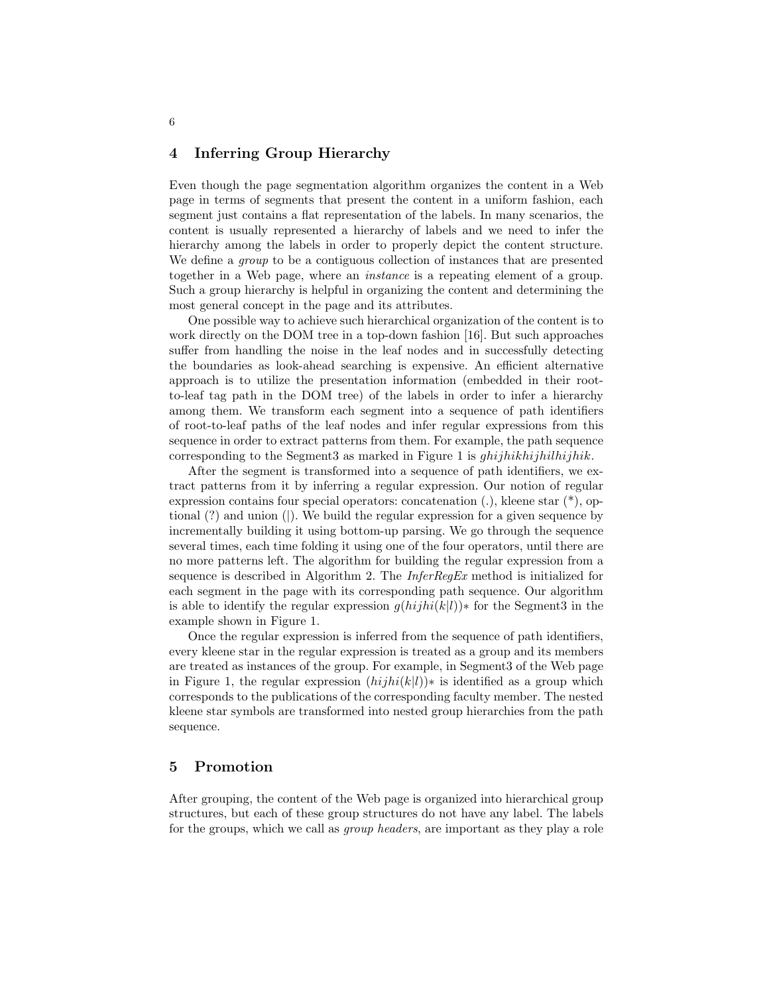## 4 Inferring Group Hierarchy

Even though the page segmentation algorithm organizes the content in a Web page in terms of segments that present the content in a uniform fashion, each segment just contains a flat representation of the labels. In many scenarios, the content is usually represented a hierarchy of labels and we need to infer the hierarchy among the labels in order to properly depict the content structure. We define a *group* to be a contiguous collection of instances that are presented together in a Web page, where an instance is a repeating element of a group. Such a group hierarchy is helpful in organizing the content and determining the most general concept in the page and its attributes.

One possible way to achieve such hierarchical organization of the content is to work directly on the DOM tree in a top-down fashion [16]. But such approaches suffer from handling the noise in the leaf nodes and in successfully detecting the boundaries as look-ahead searching is expensive. An efficient alternative approach is to utilize the presentation information (embedded in their rootto-leaf tag path in the DOM tree) of the labels in order to infer a hierarchy among them. We transform each segment into a sequence of path identifiers of root-to-leaf paths of the leaf nodes and infer regular expressions from this sequence in order to extract patterns from them. For example, the path sequence corresponding to the Segment3 as marked in Figure 1 is ghijhikhijhilhijhik.

After the segment is transformed into a sequence of path identifiers, we extract patterns from it by inferring a regular expression. Our notion of regular expression contains four special operators: concatenation (.), kleene star (\*), optional (?) and union (|). We build the regular expression for a given sequence by incrementally building it using bottom-up parsing. We go through the sequence several times, each time folding it using one of the four operators, until there are no more patterns left. The algorithm for building the regular expression from a sequence is described in Algorithm 2. The  $InferRegEx$  method is initialized for each segment in the page with its corresponding path sequence. Our algorithm is able to identify the regular expression  $g(hijhi(k|l))$ <sup>\*</sup> for the Segment3 in the example shown in Figure 1.

Once the regular expression is inferred from the sequence of path identifiers, every kleene star in the regular expression is treated as a group and its members are treated as instances of the group. For example, in Segment3 of the Web page in Figure 1, the regular expression  $(hijhi(k|l))$ <sup>\*</sup> is identified as a group which corresponds to the publications of the corresponding faculty member. The nested kleene star symbols are transformed into nested group hierarchies from the path sequence.

## 5 Promotion

After grouping, the content of the Web page is organized into hierarchical group structures, but each of these group structures do not have any label. The labels for the groups, which we call as group headers, are important as they play a role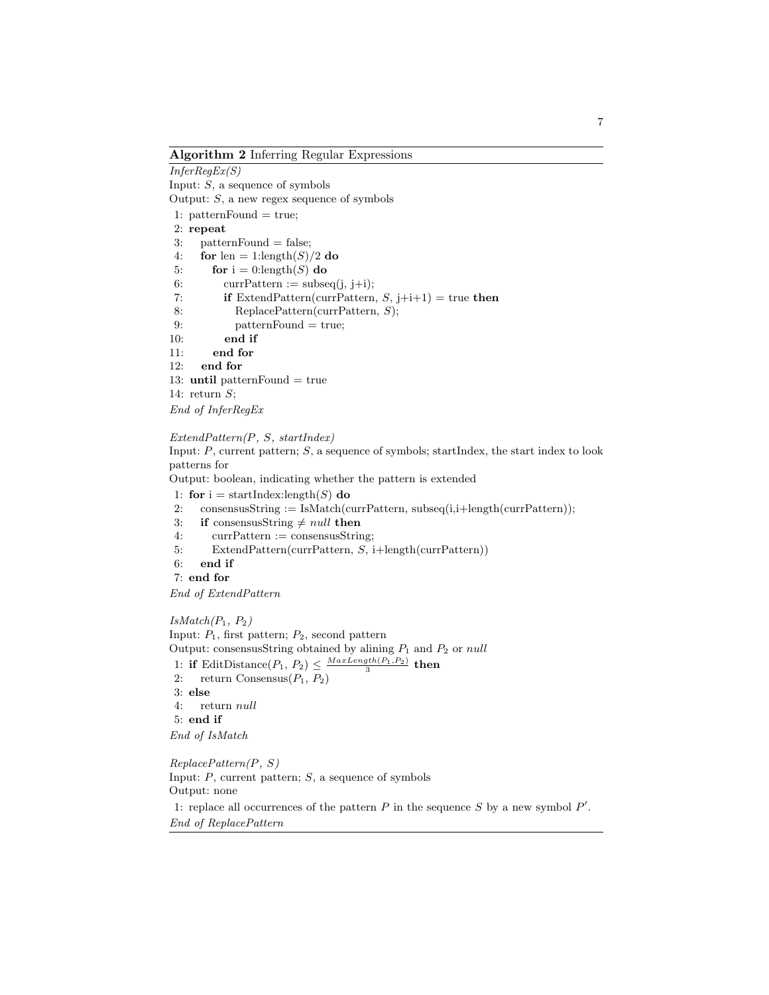Algorithm 2 Inferring Regular Expressions

InferRegEx(S) Input:  $S$ , a sequence of symbols Output:  $S$ , a new regex sequence of symbols 1: patternFound = true; 2: repeat 3: patternFound = false; 4: for len = 1:length $(S)/2$  do 5: for  $i = 0$ : length(S) do 6: currPattern := subseq(j, j+i); 7: **if** ExtendPattern(currPattern,  $S$ ,  $j+i+1$ ) = true **then** 8: ReplacePattern(currPattern, S); 9: patternFound = true; 10: end if 11: end for 12: end for 13: **until** patternFound  $=$  true 14: return  $S$ ; End of InferRegEx

### $ExtendPattern(P, S, startIndex)$

Input:  $P$ , current pattern;  $S$ , a sequence of symbols; startIndex, the start index to look patterns for

Output: boolean, indicating whether the pattern is extended

1: for  $i = \text{startIndex}:\text{length}(S)$  do

- 2: consensusString := IsMatch(currPattern, subseq(i,i+length(currPattern));
- 3: if consensusString  $\neq null$  then
- 4: currPattern := consensusString;
- 5: ExtendPattern(currPattern, S, i+length(currPattern))
- 6: end if
- 7: end for

End of ExtendPattern

 $IsMatch(P_1, P_2)$ Input:  $P_1$ , first pattern;  $P_2$ , second pattern Output: consensusString obtained by alining  $P_1$  and  $P_2$  or null 1: if EditDistance( $P_1, P_2$ )  $\leq \frac{MaxLength(P_1, P_2)}{3}$  then 2: return Consensus $(P_1, P_2)$ 3: else 4: return null 5: end if End of IsMatch

 $ReplacePattern(P, S)$ Input:  $P$ , current pattern;  $S$ , a sequence of symbols Output: none 1: replace all occurrences of the pattern  $P$  in the sequence  $S$  by a new symbol  $P'$ . End of ReplacePattern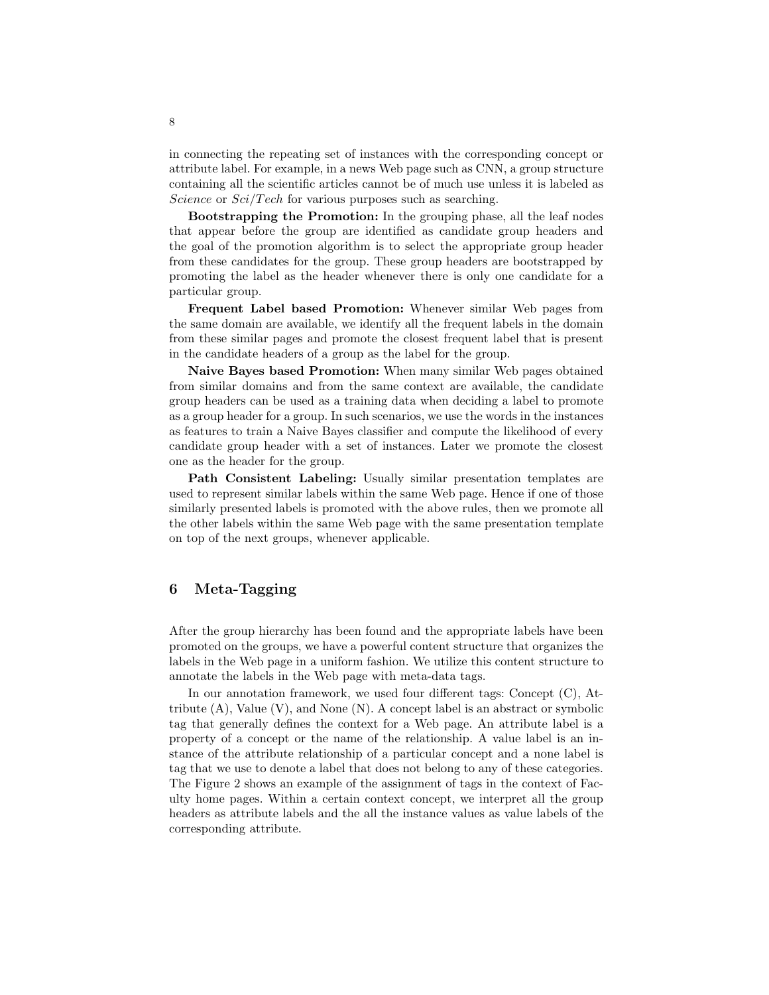in connecting the repeating set of instances with the corresponding concept or attribute label. For example, in a news Web page such as CNN, a group structure containing all the scientific articles cannot be of much use unless it is labeled as Science or  $Sci/Tech$  for various purposes such as searching.

Bootstrapping the Promotion: In the grouping phase, all the leaf nodes that appear before the group are identified as candidate group headers and the goal of the promotion algorithm is to select the appropriate group header from these candidates for the group. These group headers are bootstrapped by promoting the label as the header whenever there is only one candidate for a particular group.

Frequent Label based Promotion: Whenever similar Web pages from the same domain are available, we identify all the frequent labels in the domain from these similar pages and promote the closest frequent label that is present in the candidate headers of a group as the label for the group.

Naive Bayes based Promotion: When many similar Web pages obtained from similar domains and from the same context are available, the candidate group headers can be used as a training data when deciding a label to promote as a group header for a group. In such scenarios, we use the words in the instances as features to train a Naive Bayes classifier and compute the likelihood of every candidate group header with a set of instances. Later we promote the closest one as the header for the group.

Path Consistent Labeling: Usually similar presentation templates are used to represent similar labels within the same Web page. Hence if one of those similarly presented labels is promoted with the above rules, then we promote all the other labels within the same Web page with the same presentation template on top of the next groups, whenever applicable.

## 6 Meta-Tagging

After the group hierarchy has been found and the appropriate labels have been promoted on the groups, we have a powerful content structure that organizes the labels in the Web page in a uniform fashion. We utilize this content structure to annotate the labels in the Web page with meta-data tags.

In our annotation framework, we used four different tags: Concept (C), Attribute  $(A)$ , Value  $(V)$ , and None  $(N)$ . A concept label is an abstract or symbolic tag that generally defines the context for a Web page. An attribute label is a property of a concept or the name of the relationship. A value label is an instance of the attribute relationship of a particular concept and a none label is tag that we use to denote a label that does not belong to any of these categories. The Figure 2 shows an example of the assignment of tags in the context of Faculty home pages. Within a certain context concept, we interpret all the group headers as attribute labels and the all the instance values as value labels of the corresponding attribute.

8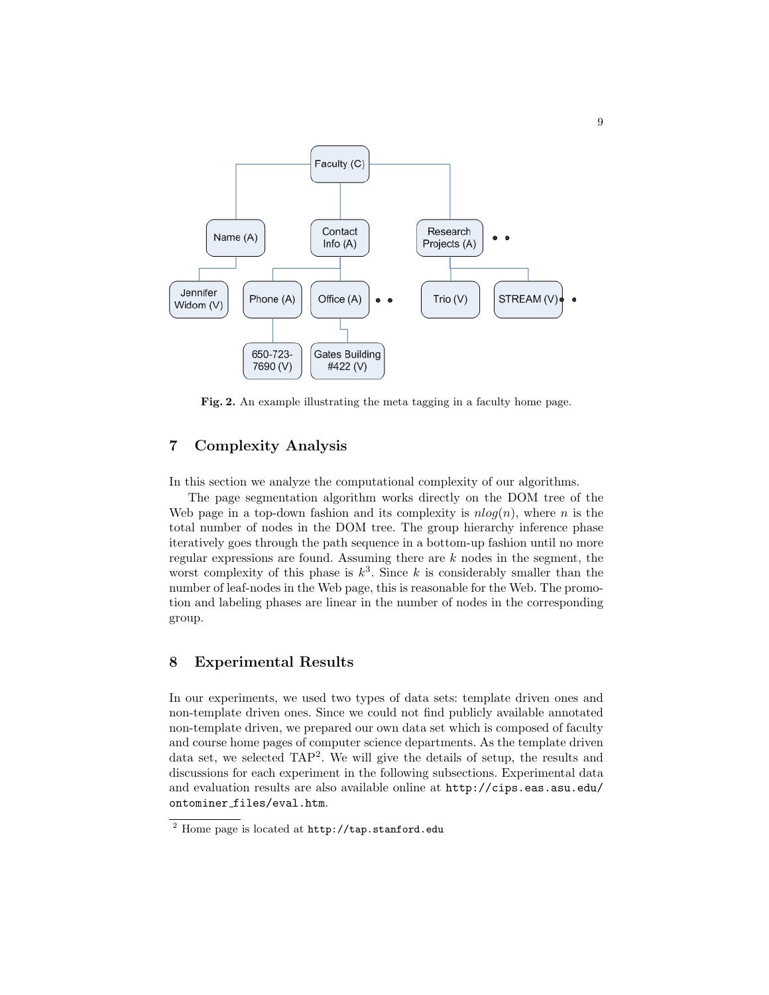

Fig. 2. An example illustrating the meta tagging in a faculty home page.

## 7 Complexity Analysis

In this section we analyze the computational complexity of our algorithms.

The page segmentation algorithm works directly on the DOM tree of the Web page in a top-down fashion and its complexity is  $nlog(n)$ , where n is the total number of nodes in the DOM tree. The group hierarchy inference phase iteratively goes through the path sequence in a bottom-up fashion until no more regular expressions are found. Assuming there are  $k$  nodes in the segment, the worst complexity of this phase is  $k^3$ . Since k is considerably smaller than the number of leaf-nodes in the Web page, this is reasonable for the Web. The promotion and labeling phases are linear in the number of nodes in the corresponding group.

## 8 Experimental Results

In our experiments, we used two types of data sets: template driven ones and non-template driven ones. Since we could not find publicly available annotated non-template driven, we prepared our own data set which is composed of faculty and course home pages of computer science departments. As the template driven data set, we selected TAP<sup>2</sup> . We will give the details of setup, the results and discussions for each experiment in the following subsections. Experimental data and evaluation results are also available online at http://cips.eas.asu.edu/ ontominer files/eval.htm.

<sup>2</sup> Home page is located at http://tap.stanford.edu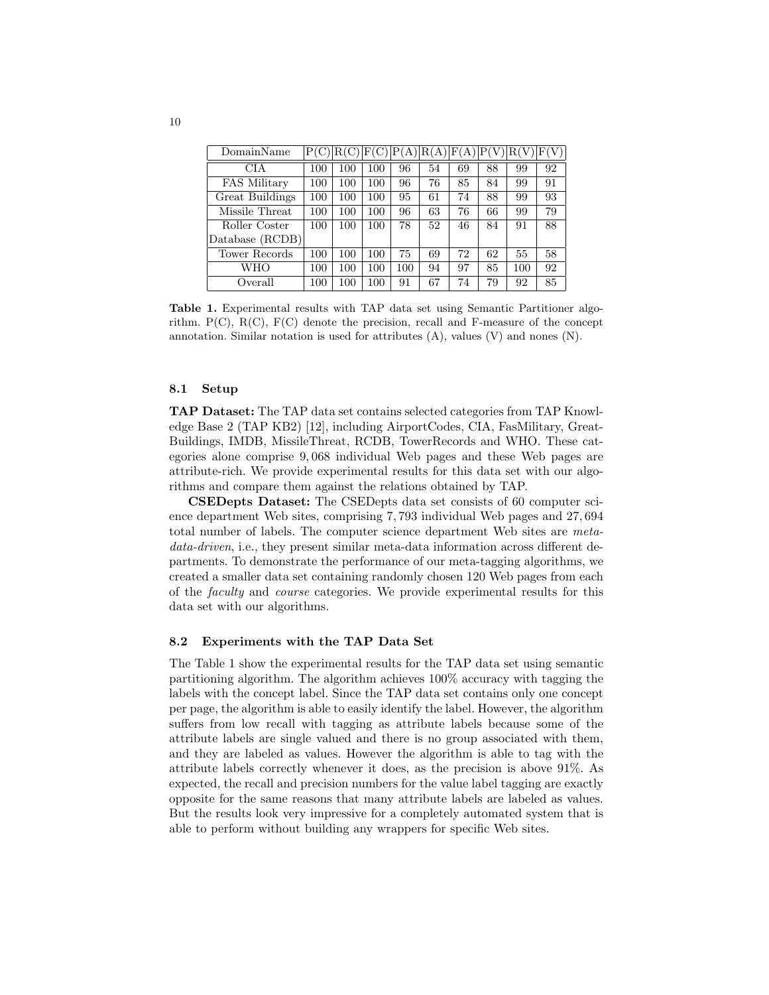| DomainName      |     |     |     |     | $P(C) R(C) F(C) P(A) R(A) F(A) P(V) R(V) F(V)$ |    |    |     |    |
|-----------------|-----|-----|-----|-----|------------------------------------------------|----|----|-----|----|
| CIA             | 100 | 100 | 100 | 96  | 54                                             | 69 | 88 | 99  | 92 |
| FAS Military    | 100 | 100 | 100 | 96  | 76                                             | 85 | 84 | 99  | 91 |
| Great Buildings | 100 | 100 | 100 | 95  | 61                                             | 74 | 88 | 99  | 93 |
| Missile Threat  | 100 | 100 | 100 | 96  | 63                                             | 76 | 66 | 99  | 79 |
| Roller Coster   | 100 | 100 | 100 | 78  | $52\,$                                         | 46 | 84 | 91  | 88 |
| Database (RCDB) |     |     |     |     |                                                |    |    |     |    |
| Tower Records   | 100 | 100 | 100 | 75  | 69                                             | 72 | 62 | 55  | 58 |
| WHO             | 100 | 100 | 100 | 100 | 94                                             | 97 | 85 | 100 | 92 |
| Overall         | 100 | 100 | 100 | 91  | 67                                             | 74 | 79 | 92  | 85 |

Table 1. Experimental results with TAP data set using Semantic Partitioner algorithm.  $P(C)$ ,  $R(C)$ ,  $F(C)$  denote the precision, recall and F-measure of the concept annotation. Similar notation is used for attributes (A), values (V) and nones (N).

### 8.1 Setup

TAP Dataset: The TAP data set contains selected categories from TAP Knowledge Base 2 (TAP KB2) [12], including AirportCodes, CIA, FasMilitary, Great-Buildings, IMDB, MissileThreat, RCDB, TowerRecords and WHO. These categories alone comprise 9, 068 individual Web pages and these Web pages are attribute-rich. We provide experimental results for this data set with our algorithms and compare them against the relations obtained by TAP.

CSEDepts Dataset: The CSEDepts data set consists of 60 computer science department Web sites, comprising 7, 793 individual Web pages and 27, 694 total number of labels. The computer science department Web sites are metadata-driven, i.e., they present similar meta-data information across different departments. To demonstrate the performance of our meta-tagging algorithms, we created a smaller data set containing randomly chosen 120 Web pages from each of the faculty and course categories. We provide experimental results for this data set with our algorithms.

#### 8.2 Experiments with the TAP Data Set

The Table 1 show the experimental results for the TAP data set using semantic partitioning algorithm. The algorithm achieves 100% accuracy with tagging the labels with the concept label. Since the TAP data set contains only one concept per page, the algorithm is able to easily identify the label. However, the algorithm suffers from low recall with tagging as attribute labels because some of the attribute labels are single valued and there is no group associated with them, and they are labeled as values. However the algorithm is able to tag with the attribute labels correctly whenever it does, as the precision is above 91%. As expected, the recall and precision numbers for the value label tagging are exactly opposite for the same reasons that many attribute labels are labeled as values. But the results look very impressive for a completely automated system that is able to perform without building any wrappers for specific Web sites.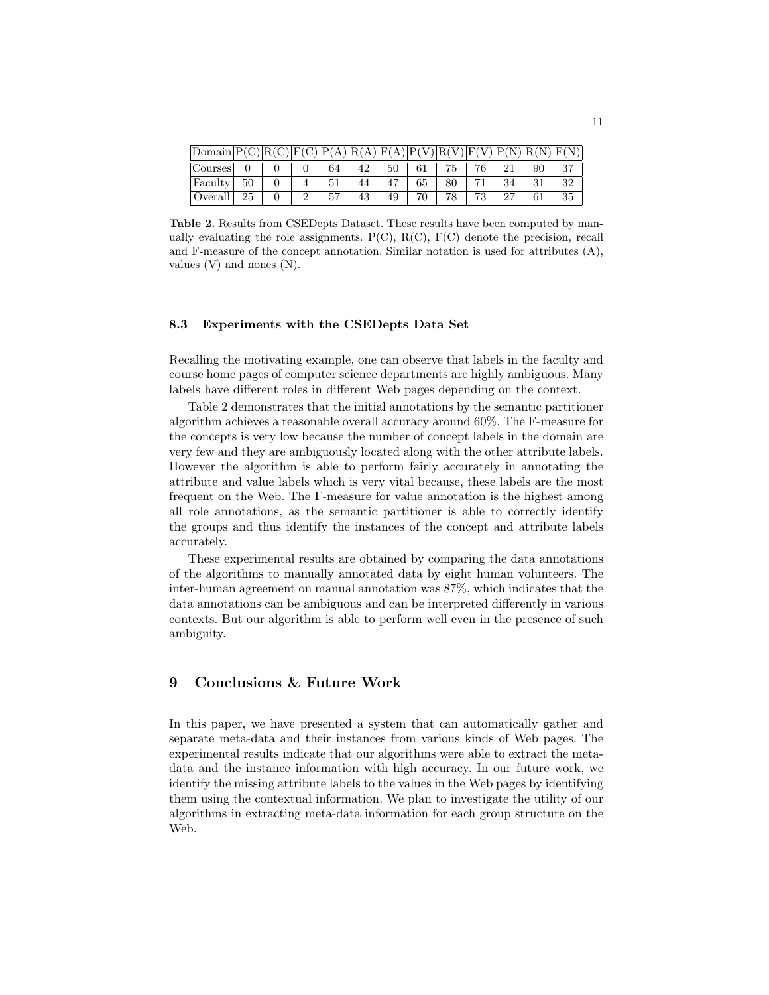| $Domain$ P( |    | F |    |    |    |    | ĸ١ |      |    |    | F, |
|-------------|----|---|----|----|----|----|----|------|----|----|----|
| Courses     |    |   | ö4 |    | 50 | 61 | 75 |      |    | 90 |    |
| Faculty     | 50 |   |    |    |    | 65 |    | $-1$ | 34 |    | υZ |
| Overall     | 25 |   | ∼~ | 43 | 49 | −∩ | 70 | 79   |    |    |    |

Table 2. Results from CSEDepts Dataset. These results have been computed by manually evaluating the role assignments.  $P(C)$ ,  $R(C)$ ,  $F(C)$  denote the precision, recall and F-measure of the concept annotation. Similar notation is used for attributes (A), values (V) and nones (N).

### 8.3 Experiments with the CSEDepts Data Set

Recalling the motivating example, one can observe that labels in the faculty and course home pages of computer science departments are highly ambiguous. Many labels have different roles in different Web pages depending on the context.

Table 2 demonstrates that the initial annotations by the semantic partitioner algorithm achieves a reasonable overall accuracy around 60%. The F-measure for the concepts is very low because the number of concept labels in the domain are very few and they are ambiguously located along with the other attribute labels. However the algorithm is able to perform fairly accurately in annotating the attribute and value labels which is very vital because, these labels are the most frequent on the Web. The F-measure for value annotation is the highest among all role annotations, as the semantic partitioner is able to correctly identify the groups and thus identify the instances of the concept and attribute labels accurately.

These experimental results are obtained by comparing the data annotations of the algorithms to manually annotated data by eight human volunteers. The inter-human agreement on manual annotation was 87%, which indicates that the data annotations can be ambiguous and can be interpreted differently in various contexts. But our algorithm is able to perform well even in the presence of such ambiguity.

# 9 Conclusions & Future Work

In this paper, we have presented a system that can automatically gather and separate meta-data and their instances from various kinds of Web pages. The experimental results indicate that our algorithms were able to extract the metadata and the instance information with high accuracy. In our future work, we identify the missing attribute labels to the values in the Web pages by identifying them using the contextual information. We plan to investigate the utility of our algorithms in extracting meta-data information for each group structure on the Web.